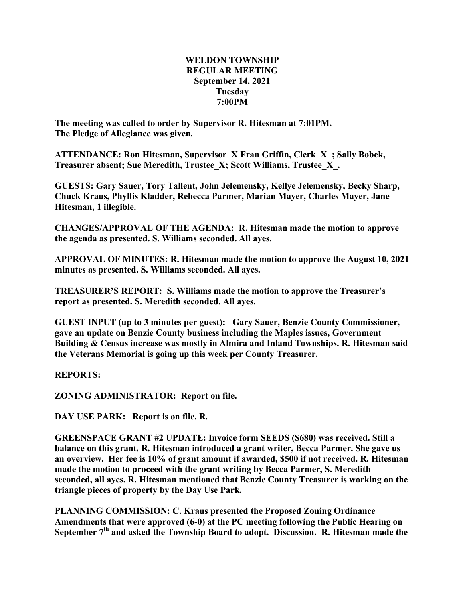## **WELDON TOWNSHIP REGULAR MEETING September 14, 2021 Tuesday 7:00PM**

**The meeting was called to order by Supervisor R. Hitesman at 7:01PM. The Pledge of Allegiance was given.**

**ATTENDANCE: Ron Hitesman, Supervisor\_X Fran Griffin, Clerk\_X\_; Sally Bobek, Treasurer absent; Sue Meredith, Trustee\_X; Scott Williams, Trustee\_X\_.**

**GUESTS: Gary Sauer, Tory Tallent, John Jelemensky, Kellye Jelemensky, Becky Sharp, Chuck Kraus, Phyllis Kladder, Rebecca Parmer, Marian Mayer, Charles Mayer, Jane Hitesman, 1 illegible.**

**CHANGES/APPROVAL OF THE AGENDA: R. Hitesman made the motion to approve the agenda as presented. S. Williams seconded. All ayes.**

**APPROVAL OF MINUTES: R. Hitesman made the motion to approve the August 10, 2021 minutes as presented. S. Williams seconded. All ayes.**

**TREASURER'S REPORT: S. Williams made the motion to approve the Treasurer's report as presented. S. Meredith seconded. All ayes.**

**GUEST INPUT (up to 3 minutes per guest): Gary Sauer, Benzie County Commissioner, gave an update on Benzie County business including the Maples issues, Government Building & Census increase was mostly in Almira and Inland Townships. R. Hitesman said the Veterans Memorial is going up this week per County Treasurer.**

**REPORTS:**

**ZONING ADMINISTRATOR: Report on file.**

**DAY USE PARK: Report is on file. R.**

**GREENSPACE GRANT #2 UPDATE: Invoice form SEEDS (\$680) was received. Still a balance on this grant. R. Hitesman introduced a grant writer, Becca Parmer. She gave us an overview. Her fee is 10% of grant amount if awarded, \$500 if not received. R. Hitesman made the motion to proceed with the grant writing by Becca Parmer, S. Meredith seconded, all ayes. R. Hitesman mentioned that Benzie County Treasurer is working on the triangle pieces of property by the Day Use Park.**

**PLANNING COMMISSION: C. Kraus presented the Proposed Zoning Ordinance Amendments that were approved (6-0) at the PC meeting following the Public Hearing on September 7th and asked the Township Board to adopt. Discussion. R. Hitesman made the**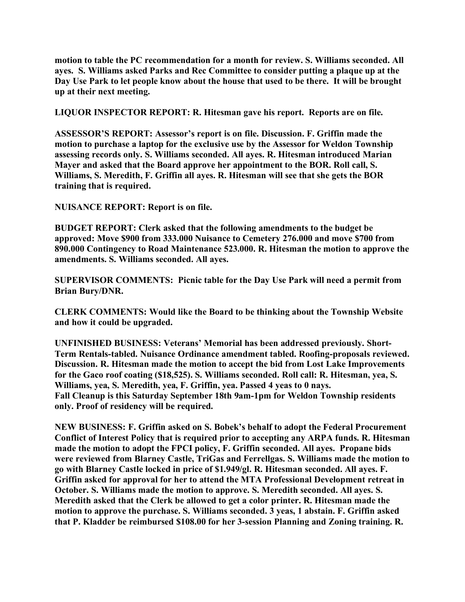**motion to table the PC recommendation for a month for review. S. Williams seconded. All ayes. S. Williams asked Parks and Rec Committee to consider putting a plaque up at the Day Use Park to let people know about the house that used to be there. It will be brought up at their next meeting.**

**LIQUOR INSPECTOR REPORT: R. Hitesman gave his report. Reports are on file.**

**ASSESSOR'S REPORT: Assessor's report is on file. Discussion. F. Griffin made the motion to purchase a laptop for the exclusive use by the Assessor for Weldon Township assessing records only. S. Williams seconded. All ayes. R. Hitesman introduced Marian Mayer and asked that the Board approve her appointment to the BOR. Roll call, S. Williams, S. Meredith, F. Griffin all ayes. R. Hitesman will see that she gets the BOR training that is required.**

**NUISANCE REPORT: Report is on file.**

**BUDGET REPORT: Clerk asked that the following amendments to the budget be approved: Move \$900 from 333.000 Nuisance to Cemetery 276.000 and move \$700 from 890.000 Contingency to Road Maintenance 523.000. R. Hitesman the motion to approve the amendments. S. Williams seconded. All ayes.**

**SUPERVISOR COMMENTS: Picnic table for the Day Use Park will need a permit from Brian Bury/DNR.**

**CLERK COMMENTS: Would like the Board to be thinking about the Township Website and how it could be upgraded.**

**UNFINISHED BUSINESS: Veterans' Memorial has been addressed previously. Short-Term Rentals-tabled. Nuisance Ordinance amendment tabled. Roofing-proposals reviewed. Discussion. R. Hitesman made the motion to accept the bid from Lost Lake Improvements for the Gaco roof coating (\$18,525). S. Williams seconded. Roll call: R. Hitesman, yea, S. Williams, yea, S. Meredith, yea, F. Griffin, yea. Passed 4 yeas to 0 nays. Fall Cleanup is this Saturday September 18th 9am-1pm for Weldon Township residents only. Proof of residency will be required.**

**NEW BUSINESS: F. Griffin asked on S. Bobek's behalf to adopt the Federal Procurement Conflict of Interest Policy that is required prior to accepting any ARPA funds. R. Hitesman made the motion to adopt the FPCI policy, F. Griffin seconded. All ayes. Propane bids were reviewed from Blarney Castle, TriGas and Ferrellgas. S. Williams made the motion to go with Blarney Castle locked in price of \$1.949/gl. R. Hitesman seconded. All ayes. F. Griffin asked for approval for her to attend the MTA Professional Development retreat in October. S. Williams made the motion to approve. S. Meredith seconded. All ayes. S. Meredith asked that the Clerk be allowed to get a color printer. R. Hitesman made the motion to approve the purchase. S. Williams seconded. 3 yeas, 1 abstain. F. Griffin asked that P. Kladder be reimbursed \$108.00 for her 3-session Planning and Zoning training. R.**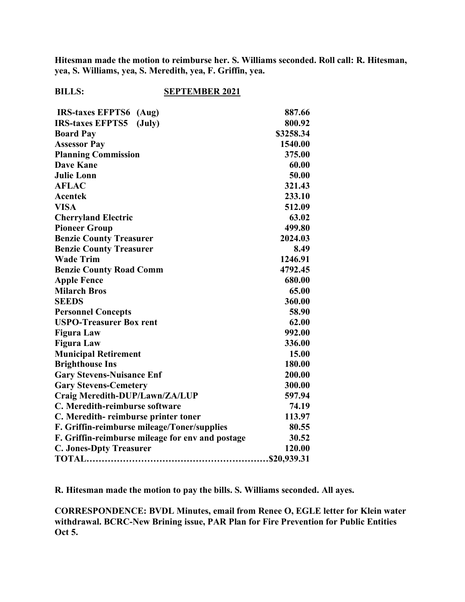**Hitesman made the motion to reimburse her. S. Williams seconded. Roll call: R. Hitesman, yea, S. Williams, yea, S. Meredith, yea, F. Griffin, yea.**

## **BILLS: SEPTEMBER 2021**

| <b>IRS-taxes EFPTS6</b> (Aug)                    | 887.66    |
|--------------------------------------------------|-----------|
| <b>IRS-taxes EFPTS5</b><br>$(\mathrm{July})$     | 800.92    |
| <b>Board Pay</b>                                 | \$3258.34 |
| <b>Assessor Pay</b>                              | 1540.00   |
| <b>Planning Commission</b>                       | 375.00    |
| <b>Dave Kane</b>                                 | 60.00     |
| <b>Julie Lonn</b>                                | 50.00     |
| <b>AFLAC</b>                                     | 321.43    |
| <b>Acentek</b>                                   | 233.10    |
| <b>VISA</b>                                      | 512.09    |
| <b>Cherryland Electric</b>                       | 63.02     |
| <b>Pioneer Group</b>                             | 499.80    |
| <b>Benzie County Treasurer</b>                   | 2024.03   |
| <b>Benzie County Treasurer</b>                   | 8.49      |
| <b>Wade Trim</b>                                 | 1246.91   |
| <b>Benzie County Road Comm</b>                   | 4792.45   |
| <b>Apple Fence</b>                               | 680.00    |
| <b>Milarch Bros</b>                              | 65.00     |
| <b>SEEDS</b>                                     | 360.00    |
| <b>Personnel Concepts</b>                        | 58.90     |
| <b>USPO-Treasurer Box rent</b>                   | 62.00     |
| <b>Figura Law</b>                                | 992.00    |
| <b>Figura Law</b>                                | 336.00    |
| <b>Municipal Retirement</b>                      | 15.00     |
| <b>Brighthouse Ins</b>                           | 180.00    |
| <b>Gary Stevens-Nuisance Enf</b>                 | 200.00    |
| <b>Gary Stevens-Cemetery</b>                     | 300.00    |
| Craig Meredith-DUP/Lawn/ZA/LUP                   | 597.94    |
| C. Meredith-reimburse software                   | 74.19     |
| C. Meredith-reimburse printer toner              | 113.97    |
| F. Griffin-reimburse mileage/Toner/supplies      | 80.55     |
| F. Griffin-reimburse mileage for env and postage | 30.52     |
| <b>C. Jones-Dpty Treasurer</b>                   | 120.00    |
|                                                  |           |

**R. Hitesman made the motion to pay the bills. S. Williams seconded. All ayes.**

**CORRESPONDENCE: BVDL Minutes, email from Renee O, EGLE letter for Klein water withdrawal. BCRC-New Brining issue, PAR Plan for Fire Prevention for Public Entities Oct 5.**